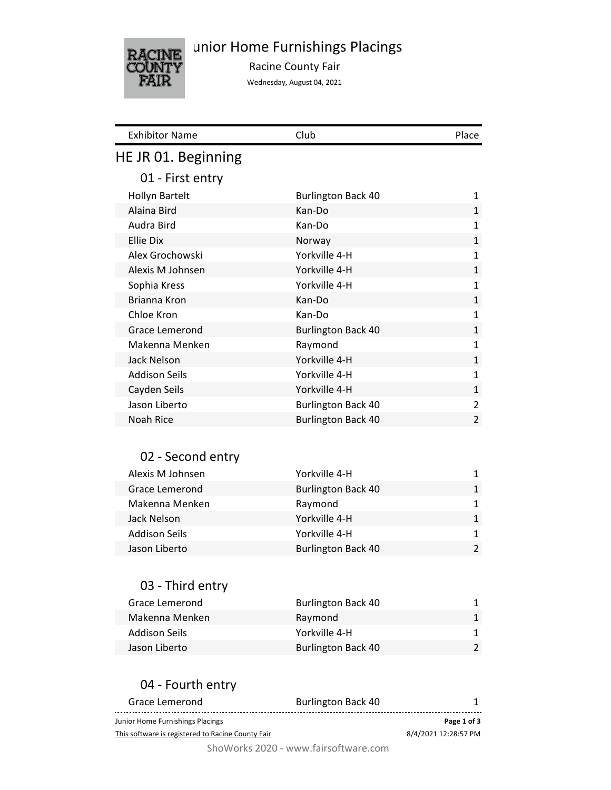

unior Home Furnishings Placings

Racine County Fair

Wednesday, August 04, 2021

| <b>Exhibitor Name</b>                             | Club                      | Place                |
|---------------------------------------------------|---------------------------|----------------------|
| HE JR 01. Beginning                               |                           |                      |
| 01 - First entry                                  |                           |                      |
| <b>Hollyn Bartelt</b>                             | <b>Burlington Back 40</b> | 1                    |
| Alaina Bird                                       | Kan-Do                    | $\mathbf{1}$         |
| Audra Bird                                        | Kan-Do                    | $\mathbf{1}$         |
| <b>Ellie Dix</b>                                  | Norway                    | $\mathbf{1}$         |
| Alex Grochowski                                   | Yorkville 4-H             | 1                    |
| Alexis M Johnsen                                  | Yorkville 4-H             | $\mathbf{1}$         |
| Sophia Kress                                      | Yorkville 4-H             | 1                    |
| Brianna Kron                                      | Kan-Do                    | 1                    |
| Chloe Kron                                        | Kan-Do                    | 1                    |
| Grace Lemerond                                    | <b>Burlington Back 40</b> | $\mathbf 1$          |
| Makenna Menken                                    | Raymond                   | 1                    |
| Jack Nelson                                       | Yorkville 4-H             | 1                    |
| <b>Addison Seils</b>                              | Yorkville 4-H             | 1                    |
| Cayden Seils                                      | Yorkville 4-H             | $\mathbf{1}$         |
| Jason Liberto                                     | <b>Burlington Back 40</b> | 2                    |
| Noah Rice                                         | <b>Burlington Back 40</b> | 2                    |
|                                                   |                           |                      |
| 02 - Second entry                                 |                           |                      |
| Alexis M Johnsen                                  | Yorkville 4-H             | 1                    |
| Grace Lemerond                                    | <b>Burlington Back 40</b> | $\mathbf{1}$         |
| Makenna Menken                                    | Raymond                   | 1                    |
| Jack Nelson                                       | Yorkville 4-H             | $\mathbf{1}$         |
| <b>Addison Seils</b>                              | Yorkville 4-H             | 1                    |
| Jason Liberto                                     | <b>Burlington Back 40</b> | $\overline{2}$       |
|                                                   |                           |                      |
|                                                   |                           |                      |
| 03 - Third entry                                  |                           |                      |
| Grace Lemerond                                    | <b>Burlington Back 40</b> | 1                    |
| Makenna Menken                                    | Raymond                   | 1                    |
| <b>Addison Seils</b>                              | Yorkville 4-H             | 1                    |
| Jason Liberto                                     | <b>Burlington Back 40</b> | 2                    |
|                                                   |                           |                      |
| 04 - Fourth entry                                 |                           |                      |
| Grace Lemerond                                    | <b>Burlington Back 40</b> | 1                    |
| Junior Home Furnishings Placings                  |                           | Page 1 of 3          |
| This software is registered to Racine County Fair |                           | 8/4/2021 12:28:57 PM |

ShoWorks 2020 - www.fairsoftware.com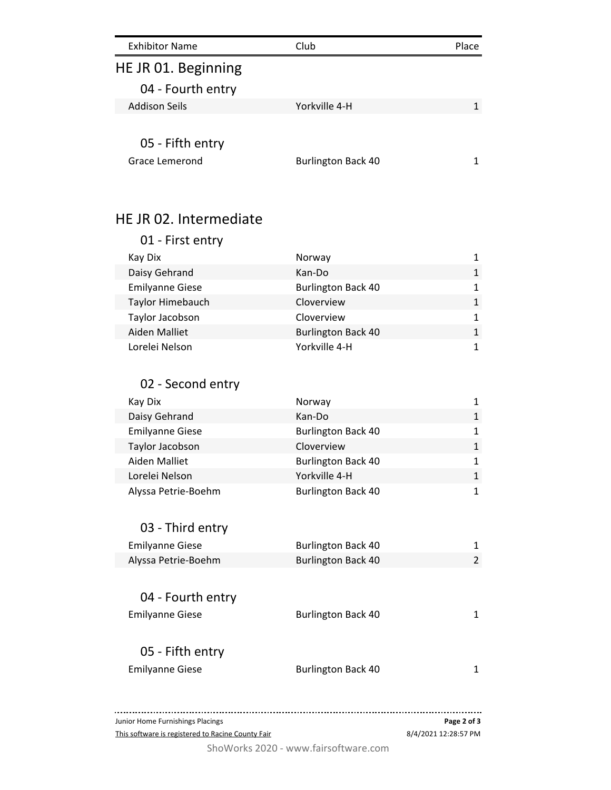| <b>Exhibitor Name</b>              | Club                      | Place |
|------------------------------------|---------------------------|-------|
| HE JR 01. Beginning                |                           |       |
| 04 - Fourth entry                  |                           |       |
| Addison Seils                      | Yorkville 4-H             |       |
| 05 - Fifth entry<br>Grace Lemerond | <b>Burlington Back 40</b> |       |

# HE JR 02. Intermediate

| 01 - First entry       |                           |   |
|------------------------|---------------------------|---|
| Kay Dix                | Norway                    |   |
| Daisy Gehrand          | Kan-Do                    | 1 |
| <b>Emilyanne Giese</b> | <b>Burlington Back 40</b> | 1 |
| Taylor Himebauch       | Cloverview                | 1 |
| Taylor Jacobson        | Cloverview                | 1 |
| Aiden Malliet          | <b>Burlington Back 40</b> | 1 |
| Lorelei Nelson         | Yorkville 4-H             | 1 |

## 02 - Second entry

| Kay Dix                | Norway                    | 1 |
|------------------------|---------------------------|---|
| Daisy Gehrand          | Kan-Do                    | 1 |
| <b>Emilyanne Giese</b> | <b>Burlington Back 40</b> | 1 |
| Taylor Jacobson        | Cloverview                | 1 |
| Aiden Malliet          | <b>Burlington Back 40</b> | 1 |
| Lorelei Nelson         | Yorkville 4-H             | 1 |
| Alyssa Petrie-Boehm    | <b>Burlington Back 40</b> | 1 |

## 03 - Third entry

| <b>Emilyanne Giese</b> | <b>Burlington Back 40</b> |  |
|------------------------|---------------------------|--|
| Alyssa Petrie-Boehm    | <b>Burlington Back 40</b> |  |

| 04 - Fourth entry      |                           |  |
|------------------------|---------------------------|--|
| <b>Emilyanne Giese</b> | <b>Burlington Back 40</b> |  |
|                        |                           |  |
| 05 - Fifth entry       |                           |  |
| <b>Emilyanne Giese</b> | <b>Burlington Back 40</b> |  |

Junior Home Furnishings Placings **Page 2 of 3** This software is registered to Racine County Fair 8/4/2021 12:28:57 PM

ShoWorks 2020 - www.fairsoftware.com